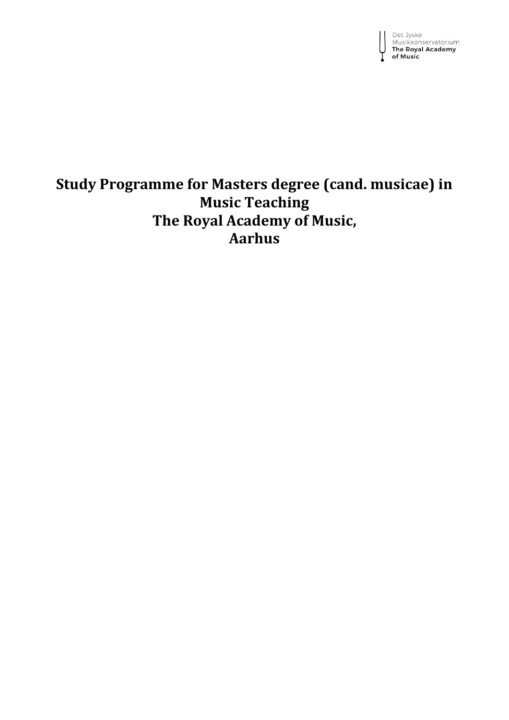Det Jyske<br>Musikkonservatorium<br>**The Royal Academy** of Music

# **Study Programme for Masters degree (cand. musicae) in Music Teaching The Royal Academy of Music, Aarhus**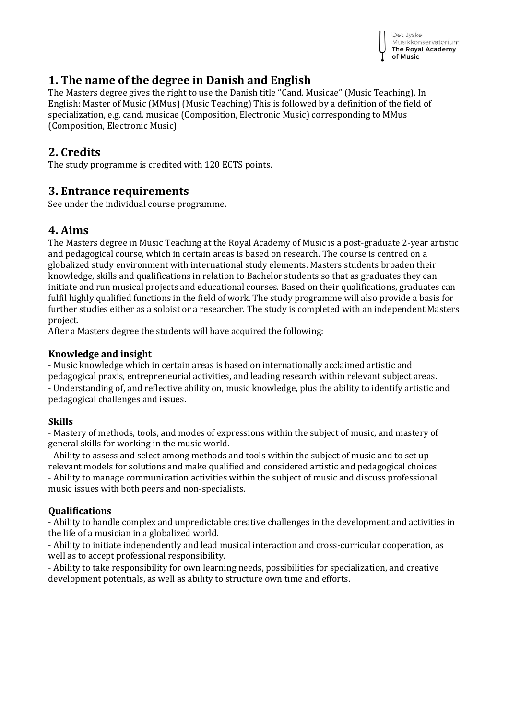

## **1. The name of the degree in Danish and English**

The Masters degree gives the right to use the Danish title "Cand. Musicae" (Music Teaching). In English: Master of Music (MMus) (Music Teaching) This is followed by a definition of the field of specialization, e.g. cand. musicae (Composition, Electronic Music) corresponding to MMus (Composition, Electronic Music).

### **2. Credits**

The study programme is credited with 120 ECTS points.

### **3. Entrance requirements**

See under the individual course programme.

## **4. Aims**

The Masters degree in Music Teaching at the Royal Academy of Music is a post-graduate 2-year artistic and pedagogical course, which in certain areas is based on research. The course is centred on a globalized study environment with international study elements. Masters students broaden their knowledge, skills and qualifications in relation to Bachelor students so that as graduates they can initiate and run musical projects and educational courses. Based on their qualifications, graduates can fulfil highly qualified functions in the field of work. The study programme will also provide a basis for further studies either as a soloist or a researcher. The study is completed with an independent Masters project.

After a Masters degree the students will have acquired the following:

### **Knowledge and insight**

- Music knowledge which in certain areas is based on internationally acclaimed artistic and pedagogical praxis, entrepreneurial activities, and leading research within relevant subject areas. - Understanding of, and reflective ability on, music knowledge, plus the ability to identify artistic and pedagogical challenges and issues.

### **Skills**

- Mastery of methods, tools, and modes of expressions within the subject of music, and mastery of general skills for working in the music world.

- Ability to assess and select among methods and tools within the subject of music and to set up relevant models for solutions and make qualified and considered artistic and pedagogical choices. - Ability to manage communication activities within the subject of music and discuss professional music issues with both peers and non-specialists.

### **Qualifications**

- Ability to handle complex and unpredictable creative challenges in the development and activities in the life of a musician in a globalized world.

- Ability to initiate independently and lead musical interaction and cross-curricular cooperation, as well as to accept professional responsibility.

- Ability to take responsibility for own learning needs, possibilities for specialization, and creative development potentials, as well as ability to structure own time and efforts.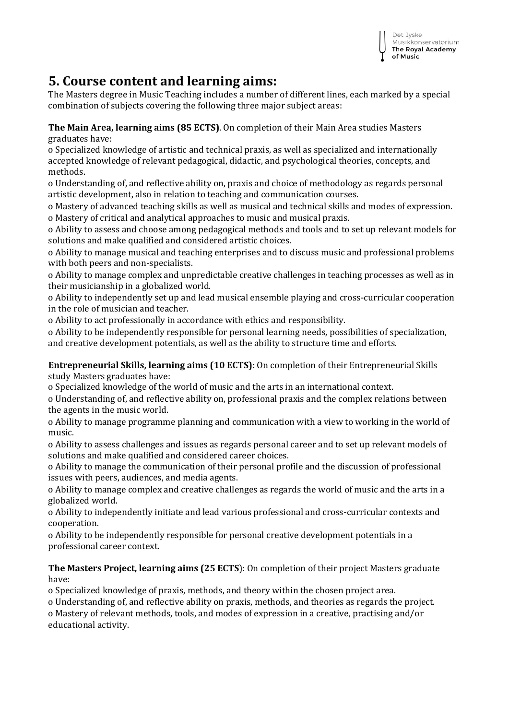

## **5. Course content and learning aims:**

The Masters degree in Music Teaching includes a number of different lines, each marked by a special combination of subjects covering the following three major subject areas:

**The Main Area, learning aims (85 ECTS)**. On completion of their Main Area studies Masters graduates have:

o Specialized knowledge of artistic and technical praxis, as well as specialized and internationally accepted knowledge of relevant pedagogical, didactic, and psychological theories, concepts, and methods.

o Understanding of, and reflective ability on, praxis and choice of methodology as regards personal artistic development, also in relation to teaching and communication courses.

o Mastery of advanced teaching skills as well as musical and technical skills and modes of expression. o Mastery of critical and analytical approaches to music and musical praxis.

o Ability to assess and choose among pedagogical methods and tools and to set up relevant models for solutions and make qualified and considered artistic choices.

o Ability to manage musical and teaching enterprises and to discuss music and professional problems with both peers and non-specialists.

o Ability to manage complex and unpredictable creative challenges in teaching processes as well as in their musicianship in a globalized world.

o Ability to independently set up and lead musical ensemble playing and cross-curricular cooperation in the role of musician and teacher.

o Ability to act professionally in accordance with ethics and responsibility.

o Ability to be independently responsible for personal learning needs, possibilities of specialization, and creative development potentials, as well as the ability to structure time and efforts.

**Entrepreneurial Skills, learning aims (10 ECTS):** On completion of their Entrepreneurial Skills study Masters graduates have:

o Specialized knowledge of the world of music and the arts in an international context.

o Understanding of, and reflective ability on, professional praxis and the complex relations between the agents in the music world.

o Ability to manage programme planning and communication with a view to working in the world of music.

o Ability to assess challenges and issues as regards personal career and to set up relevant models of solutions and make qualified and considered career choices.

o Ability to manage the communication of their personal profile and the discussion of professional issues with peers, audiences, and media agents.

o Ability to manage complex and creative challenges as regards the world of music and the arts in a globalized world.

o Ability to independently initiate and lead various professional and cross-curricular contexts and cooperation.

o Ability to be independently responsible for personal creative development potentials in a professional career context.

**The Masters Project, learning aims (25 ECTS**): On completion of their project Masters graduate have:

o Specialized knowledge of praxis, methods, and theory within the chosen project area.

o Understanding of, and reflective ability on praxis, methods, and theories as regards the project. o Mastery of relevant methods, tools, and modes of expression in a creative, practising and/or educational activity.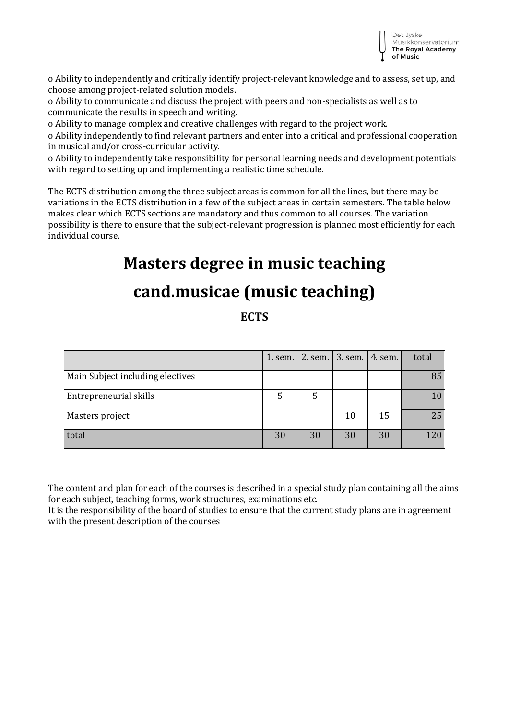

o Ability to independently and critically identify project-relevant knowledge and to assess, set up, and choose among project-related solution models.

o Ability to communicate and discuss the project with peers and non-specialists as well as to communicate the results in speech and writing.

o Ability to manage complex and creative challenges with regard to the project work.

o Ability independently to find relevant partners and enter into a critical and professional cooperation in musical and/or cross-curricular activity.

o Ability to independently take responsibility for personal learning needs and development potentials with regard to setting up and implementing a realistic time schedule.

The ECTS distribution among the three subject areas is common for all the lines, but there may be variations in the ECTS distribution in a few of the subject areas in certain semesters. The table below makes clear which ECTS sections are mandatory and thus common to all courses. The variation possibility is there to ensure that the subject-relevant progression is planned most efficiently for each individual course.

| <b>Masters degree in music teaching</b> |         |         |         |         |       |
|-----------------------------------------|---------|---------|---------|---------|-------|
| cand.musicae (music teaching)           |         |         |         |         |       |
| <b>ECTS</b>                             |         |         |         |         |       |
|                                         |         |         |         |         |       |
|                                         | 1. sem. | 2. sem. | 3. sem. | 4. sem. | total |
| Main Subject including electives        |         |         |         |         | 85    |
| Entrepreneurial skills                  | 5       | 5       |         |         | 10    |
| Masters project                         |         |         | 10      | 15      | 25    |
| total                                   | 30      | 30      | 30      | 30      | 120   |

The content and plan for each of the courses is described in a special study plan containing all the aims for each subject, teaching forms, work structures, examinations etc.

It is the responsibility of the board of studies to ensure that the current study plans are in agreement with the present description of the courses